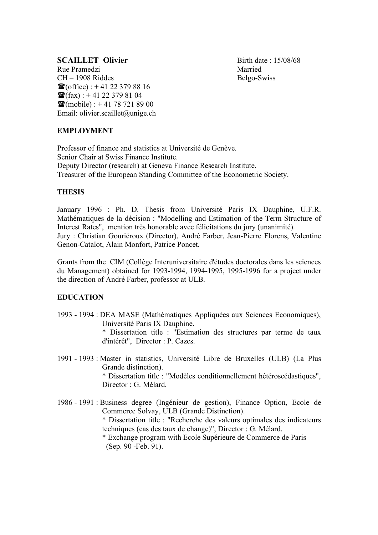# **SCAILLET Olivier** Birth date : 15/08/68

Rue Pramedzi Married CH – 1908 Riddes Belgo-Swiss  $\mathbf{\mathcal{F}}(\text{office})$  : + 41 22 379 88 16  $\mathbf{\widehat{m}}(\text{fax})$  : +41 22 379 81 04  $\mathbf{\mathcal{F}}$ (mobile) : + 41 78 721 89 00 Email: olivier.scaillet@unige.ch

# **EMPLOYMENT**

Professor of finance and statistics at Université de Genève. Senior Chair at Swiss Finance Institute. Deputy Director (research) at Geneva Finance Research Institute. Treasurer of the European Standing Committee of the Econometric Society.

# **THESIS**

January 1996 : Ph. D. Thesis from Université Paris IX Dauphine, U.F.R. Mathématiques de la décision : "Modelling and Estimation of the Term Structure of Interest Rates", mention très honorable avec félicitations du jury (unanimité). Jury : Christian Gouriéroux (Director), André Farber, Jean-Pierre Florens, Valentine Genon-Catalot, Alain Monfort, Patrice Poncet.

Grants from the CIM (Collège Interuniversitaire d'études doctorales dans les sciences du Management) obtained for 1993-1994, 1994-1995, 1995-1996 for a project under the direction of André Farber, professor at ULB.

# **EDUCATION**

- 1993 1994 : DEA MASE (Mathématiques Appliquées aux Sciences Economiques), Université Paris IX Dauphine. \* Dissertation title : "Estimation des structures par terme de taux d'intérêt", Director : P. Cazes.
- 1991 1993 : Master in statistics, Université Libre de Bruxelles (ULB) (La Plus Grande distinction). \* Dissertation title : "Modèles conditionnellement hétéroscédastiques", Director : G. Mélard.
- 1986 1991 : Business degree (Ingénieur de gestion), Finance Option, Ecole de Commerce Solvay, ULB (Grande Distinction). \* Dissertation title : "Recherche des valeurs optimales des indicateurs techniques (cas des taux de change)", Director : G. Mélard. \* Exchange program with Ecole Supérieure de Commerce de Paris (Sep. 90 -Feb. 91).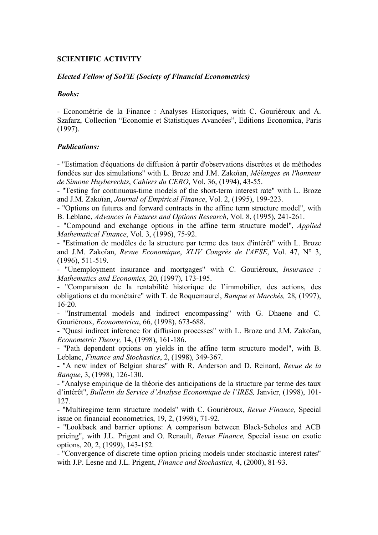### **SCIENTIFIC ACTIVITY**

#### *Elected Fellow of SoFiE (Society of Financial Econometrics)*

#### *Books:*

- Econométrie de la Finance : Analyses Historiques, with C. Gouriéroux and A. Szafarz, Collection "Economie et Statistiques Avancées", Editions Economica, Paris (1997).

#### *Publications:*

- "Estimation d'équations de diffusion à partir d'observations discrètes et de méthodes fondées sur des simulations" with L. Broze and J.M. Zakoïan, *Mélanges en l'honneur de Simone Huyberechts*, *Cahiers du CERO*, Vol. 36, (1994), 43-55.

- "Testing for continuous-time models of the short-term interest rate" with L. Broze and J.M. Zakoïan, *Journal of Empirical Finance*, Vol. 2, (1995), 199-223.

- "Options on futures and forward contracts in the affine term structure model", with B. Leblanc, *Advances in Futures and Options Research*, Vol. 8, (1995), 241-261.

- "Compound and exchange options in the affine term structure model", *Applied Mathematical Finance*, Vol. 3, (1996), 75-92.

- "Estimation de modèles de la structure par terme des taux d'intérêt" with L. Broze and J.M. Zakoïan, *Revue Economique*, *XLIV Congrès de l'AFSE*, Vol. 47, N° 3, (1996), 511-519.

- "Unemployment insurance and mortgages" with C. Gouriéroux, *Insurance : Mathematics and Economics,* 20, (1997), 173-195.

- "Comparaison de la rentabilité historique de l'immobilier, des actions, des obligations et du monétaire" with T. de Roquemaurel, *Banque et Marchés,* 28, (1997), 16-20.

- "Instrumental models and indirect encompassing" with G. Dhaene and C. Gouriéroux, *Econometrica*, 66, (1998), 673-688.

- "Quasi indirect inference for diffusion processes" with L. Broze and J.M. Zakoïan, *Econometric Theory,* 14, (1998), 161-186.

- "Path dependent options on yields in the affine term structure model", with B. Leblanc, *Finance and Stochastics*, 2, (1998), 349-367.

- "A new index of Belgian shares" with R. Anderson and D. Reinard, *Revue de la Banque*, 3, (1998), 126-130.

- "Analyse empirique de la théorie des anticipations de la structure par terme des taux d'intérêt", *Bulletin du Service d'Analyse Economique de l'IRES,* Janvier, (1998), 101- 127.

- "Multiregime term structure models" with C. Gouriéroux, *Revue Finance,* Special issue on financial econometrics, 19, 2, (1998), 71-92.

- "Lookback and barrier options: A comparison between Black-Scholes and ACB pricing", with J.L. Prigent and O. Renault, *Revue Finance,* Special issue on exotic options, 20, 2, (1999), 143-152.

- "Convergence of discrete time option pricing models under stochastic interest rates" with J.P. Lesne and J.L. Prigent, *Finance and Stochastics,* 4, (2000), 81-93.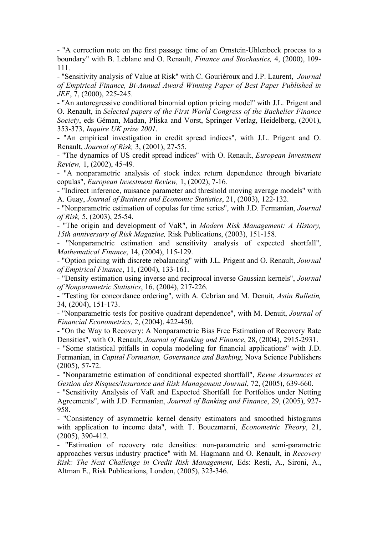- "A correction note on the first passage time of an Ornstein-Uhlenbeck process to a boundary" with B. Leblanc and O. Renault, *Finance and Stochastics,* 4, (2000), 109- 111*.*

- "Sensitivity analysis of Value at Risk" with C. Gouriéroux and J.P. Laurent, *Journal of Empirical Finance, Bi-Annual Award Winning Paper of Best Paper Published in JEF*, 7, (2000), 225-245.

- "An autoregressive conditional binomial option pricing model" with J.L. Prigent and O. Renault, in *Selected papers of the First World Congress of the Bachelier Finance Society*, eds Géman, Madan, Pliska and Vorst, Springer Verlag, Heidelberg, (2001), 353-373, *Inquire UK prize 2001*.

- "An empirical investigation in credit spread indices", with J.L. Prigent and O. Renault, *Journal of Risk,* 3, (2001), 27-55.

- "The dynamics of US credit spread indices" with O. Renault, *European Investment Review,* 1, (2002), 45-49*.*

- "A nonparametric analysis of stock index return dependence through bivariate copulas", *European Investment Review,* 1, (2002), 7-16*.*

- "Indirect inference, nuisance parameter and threshold moving average models" with A. Guay, *Journal of Business and Economic Statistics*, 21, (2003), 122-132.

- "Nonparametric estimation of copulas for time series", with J.D. Fermanian, *Journal of Risk,* 5, (2003), 25-54.

- "The origin and development of VaR", in *Modern Risk Management: A History, 15th anniversary of Risk Magazine,* Risk Publications, (2003), 151-158.

- "Nonparametric estimation and sensitivity analysis of expected shortfall", *Mathematical Finance*, 14, (2004), 115-129.

- "Option pricing with discrete rebalancing" with J.L. Prigent and O. Renault, *Journal of Empirical Finance*, 11, (2004), 133-161.

- "Density estimation using inverse and reciprocal inverse Gaussian kernels", *Journal of Nonparametric Statistics*, 16, (2004), 217-226.

- "Testing for concordance ordering", with A. Cebrian and M. Denuit, *Astin Bulletin,*  34, (2004), 151-173.

- "Nonparametric tests for positive quadrant dependence", with M. Denuit, *Journal of Financial Econometrics*, 2, (2004), 422-450.

- "On the Way to Recovery: A Nonparametric Bias Free Estimation of Recovery Rate Densities", with O. Renault, *Journal of Banking and Finance*, 28, (2004), 2915-2931.

- "Some statistical pitfalls in copula modeling for financial applications" with J.D. Fermanian, in *Capital Formation, Governance and Banking*, Nova Science Publishers (2005), 57-72.

- "Nonparametric estimation of conditional expected shortfall", *Revue Assurances et Gestion des Risques/Insurance and Risk Management Journal*, 72, (2005), 639-660.

- "Sensitivity Analysis of VaR and Expected Shortfall for Portfolios under Netting Agreements", with J.D. Fermanian, *Journal of Banking and Finance*, 29, (2005), 927- 958.

- "Consistency of asymmetric kernel density estimators and smoothed histograms with application to income data", with T. Bouezmarni, *Econometric Theory*, 21, (2005), 390-412.

- "Estimation of recovery rate densities: non-parametric and semi-parametric approaches versus industry practice" with M. Hagmann and O. Renault, in *Recovery Risk: The Next Challenge in Credit Risk Management*, Eds: Resti, A., Sironi, A., Altman E., Risk Publications, London, (2005), 323-346.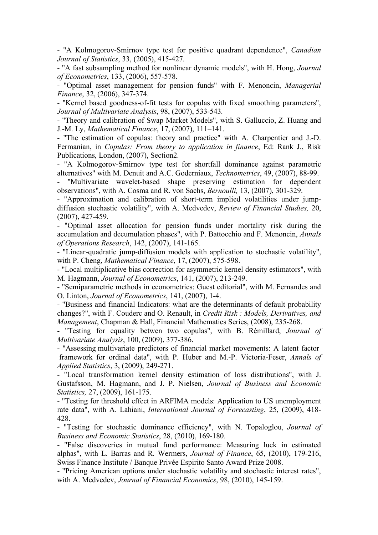- "A Kolmogorov-Smirnov type test for positive quadrant dependence", *Canadian Journal of Statistics*, 33, (2005), 415-427*.*

- "A fast subsampling method for nonlinear dynamic models", with H. Hong, *Journal of Econometrics*, 133, (2006), 557-578.

- "Optimal asset management for pension funds" with F. Menoncin, *Managerial Finance*, 32, (2006), 347-374.

- "Kernel based goodness-of-fit tests for copulas with fixed smoothing parameters", *Journal of Multivariate Analysis*, 98, (2007), 533-543*.*

- "Theory and calibration of Swap Market Models", with S. Galluccio, Z. Huang and J.-M. Ly, *Mathematical Finance*, 17, (2007), 111–141.

- "The estimation of copulas: theory and practice" with A. Charpentier and J.-D. Fermanian, in *Copulas: From theory to application in finance*, Ed: Rank J., Risk Publications, London, (2007), Section2.

- "A Kolmogorov-Smirnov type test for shortfall dominance against parametric alternatives" with M. Denuit and A.C. Goderniaux, *Technometrics*, 49, (2007), 88-99.

"Multivariate wavelet-based shape preserving estimation for dependent observations", with A. Cosma and R. von Sachs, *Bernoulli,* 13, (2007), 301-329.

- "Approximation and calibration of short-term implied volatilities under jumpdiffusion stochastic volatility", with A. Medvedev, *Review of Financial Studies,* 20, (2007), 427-459.

- "Optimal asset allocation for pension funds under mortality risk during the accumulation and decumulation phases", with P. Battocchio and F. Menoncin, *Annals of Operations Research*, 142, (2007), 141-165.

- "Linear-quadratic jump-diffusion models with application to stochastic volatility", with P. Cheng, *Mathematical Finance*, 17, (2007), 575-598.

- "Local multiplicative bias correction for asymmetric kernel density estimators", with M. Hagmann, *Journal of Econometrics*, 141, (2007), 213-249.

- "Semiparametric methods in econometrics: Guest editorial", with M. Fernandes and O. Linton, *Journal of Econometrics*, 141, (2007), 1-4.

- "Business and financial Indicators: what are the determinants of default probability changes?", with F. Couderc and O. Renault, in *Credit Risk : Models, Derivatives, and Management*, Chapman & Hall, Financial Mathematics Series, (2008), 235-268.

- "Testing for equality betwen two copulas", with B. Rémillard, *Journal of Multivariate Analysis*, 100, (2009), 377-386.

- "Assessing multivariate predictors of financial market movements: A latent factor framework for ordinal data", with P. Huber and M.-P. Victoria-Feser, *Annals of Applied Statistics*, 3, (2009), 249-271.

- "Local transformation kernel density estimation of loss distributions", with J. Gustafsson, M. Hagmann, and J. P. Nielsen, *Journal of Business and Economic Statistics,* 27, (2009), 161-175.

- "Testing for threshold effect in ARFIMA models: Application to US unemployment rate data", with A. Lahiani, *International Journal of Forecasting*, 25, (2009), 418- 428.

- "Testing for stochastic dominance efficiency", with N. Topaloglou, *Journal of Business and Economic Statistics*, 28, (2010), 169-180.

- "False discoveries in mutual fund performance: Measuring luck in estimated alphas", with L. Barras and R. Wermers, *Journal of Finance*, 65, (2010), 179-216, Swiss Finance Institute / Banque Privée Espirito Santo Award Prize 2008.

- "Pricing American options under stochastic volatility and stochastic interest rates", with A. Medvedev, *Journal of Financial Economics*, 98, (2010), 145-159.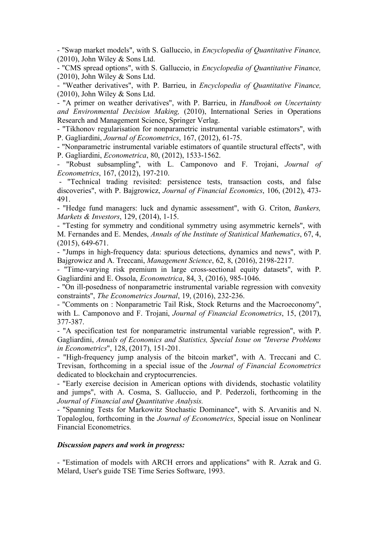- "Swap market models", with S. Galluccio, in *Encyclopedia of Quantitative Finance,*  (2010), John Wiley & Sons Ltd.

- "CMS spread options", with S. Galluccio, in *Encyclopedia of Quantitative Finance,*  (2010), John Wiley & Sons Ltd.

- "Weather derivatives", with P. Barrieu, in *Encyclopedia of Quantitative Finance,*  (2010), John Wiley & Sons Ltd.

- "A primer on weather derivatives", with P. Barrieu, in *Handbook on Uncertainty and Environmental Decision Making,* (2010), International Series in Operations Research and Management Science, Springer Verlag.

- "Tikhonov regularisation for nonparametric instrumental variable estimators", with P. Gagliardini, *Journal of Econometrics*, 167, (2012), 61-75.

- "Nonparametric instrumental variable estimators of quantile structural effects", with P. Gagliardini, *Econometrica*, 80, (2012), 1533-1562.

- "Robust subsampling", with L. Camponovo and F. Trojani, *Journal of Econometrics*, 167, (2012), 197-210.

- "Technical trading revisited: persistence tests, transaction costs, and false discoveries", with P. Bajgrowicz, *Journal of Financial Economics*, 106, (2012), 473- 491.

- "Hedge fund managers: luck and dynamic assessment", with G. Criton, *Bankers, Markets & Investors*, 129, (2014), 1-15.

- "Testing for symmetry and conditional symmetry using asymmetric kernels", with M. Fernandes and E. Mendes, *Annals of the Institute of Statistical Mathematics*, 67, 4, (2015), 649-671.

- "Jumps in high-frequency data: spurious detections, dynamics and news", with P. Bajgrowicz and A. Treccani, *Management Science*, 62, 8, (2016), 2198-2217.

- "Time-varying risk premium in large cross-sectional equity datasets", with P. Gagliardini and E. Ossola, *Econometrica*, 84, 3, (2016), 985-1046.

- "On ill-posedness of nonparametric instrumental variable regression with convexity constraints", *The Econometrics Journal*, 19, (2016), 232-236.

- "Comments on : Nonparametric Tail Risk, Stock Returns and the Macroeconomy", with L. Camponovo and F. Trojani, *Journal of Financial Econometrics*, 15, (2017), 377-387.

- "A specification test for nonparametric instrumental variable regression", with P. Gagliardini, *Annals of Economics and Statistics, Special Issue on "Inverse Problems in Econometrics*", 128, (2017), 151-201.

- "High-frequency jump analysis of the bitcoin market", with A. Treccani and C. Trevisan, forthcoming in a special issue of the *Journal of Financial Econometrics* dedicated to blockchain and cryptocurrencies.

- "Early exercise decision in American options with dividends, stochastic volatility and jumps", with A. Cosma, S. Galluccio, and P. Pederzoli, forthcoming in the *Journal of Financial and Quantitative Analysis.*

- "Spanning Tests for Markowitz Stochastic Dominance", with S. Arvanitis and N. Topaloglou, forthcoming in the *Journal of Econometrics*, Special issue on Nonlinear Financial Econometrics.

### *Discussion papers and work in progress:*

- "Estimation of models with ARCH errors and applications" with R. Azrak and G. Mélard, User's guide TSE Time Series Software, 1993.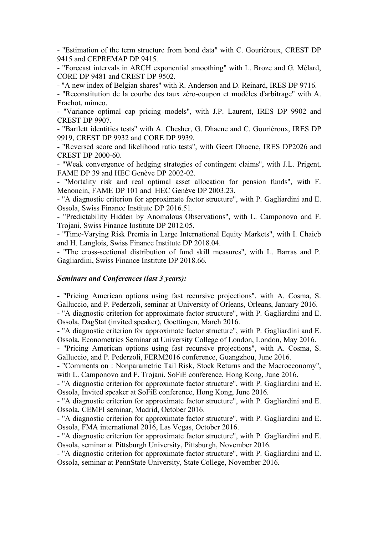- "Estimation of the term structure from bond data" with C. Gouriéroux, CREST DP 9415 and CEPREMAP DP 9415.

- "Forecast intervals in ARCH exponential smoothing" with L. Broze and G. Mélard, CORE DP 9481 and CREST DP 9502.

- "A new index of Belgian shares" with R. Anderson and D. Reinard, IRES DP 9716.

- "Reconstitution de la courbe des taux zéro-coupon et modèles d'arbitrage" with A. Frachot, mimeo.

- "Variance optimal cap pricing models", with J.P. Laurent, IRES DP 9902 and CREST DP 9907.

- "Bartlett identities tests" with A. Chesher, G. Dhaene and C. Gouriéroux, IRES DP 9919, CREST DP 9932 and CORE DP 9939.

- "Reversed score and likelihood ratio tests", with Geert Dhaene, IRES DP2026 and CREST DP 2000-60.

- "Weak convergence of hedging strategies of contingent claims", with J.L. Prigent, FAME DP 39 and HEC Genève DP 2002-02.

- "Mortality risk and real optimal asset allocation for pension funds", with F. Menoncin, FAME DP 101 and HEC Genève DP 2003.23.

- "A diagnostic criterion for approximate factor structure", with P. Gagliardini and E. Ossola, Swiss Finance Institute DP 2016.51.

- "Predictability Hidden by Anomalous Observations", with L. Camponovo and F. Trojani, Swiss Finance Institute DP 2012.05.

- "Time-Varying Risk Premia in Large International Equity Markets", with I. Chaieb and H. Langlois, Swiss Finance Institute DP 2018.04.

- "The cross-sectional distribution of fund skill measures", with L. Barras and P. Gagliardini, Swiss Finance Institute DP 2018.66.

#### *Seminars and Conferences (last 3 years):*

- "Pricing American options using fast recursive projections", with A. Cosma, S. Galluccio, and P. Pederzoli, seminar at University of Orleans, Orleans, January 2016. - "A diagnostic criterion for approximate factor structure", with P. Gagliardini and E. Ossola, DagStat (invited speaker), Goettingen, March 2016.

- "A diagnostic criterion for approximate factor structure", with P. Gagliardini and E. Ossola, Econometrics Seminar at University College of London, London, May 2016.

- "Pricing American options using fast recursive projections", with A. Cosma, S. Galluccio, and P. Pederzoli, FERM2016 conference, Guangzhou, June 2016.

- "Comments on : Nonparametric Tail Risk, Stock Returns and the Macroeconomy", with L. Camponovo and F. Trojani, SoFiE conference, Hong Kong, June 2016.

- "A diagnostic criterion for approximate factor structure", with P. Gagliardini and E. Ossola, Invited speaker at SoFiE conference, Hong Kong, June 2016.

- "A diagnostic criterion for approximate factor structure", with P. Gagliardini and E. Ossola, CEMFI seminar, Madrid, October 2016.

- "A diagnostic criterion for approximate factor structure", with P. Gagliardini and E. Ossola, FMA international 2016, Las Vegas, October 2016.

- "A diagnostic criterion for approximate factor structure", with P. Gagliardini and E. Ossola, seminar at Pittsburgh University, Pittsburgh, November 2016.

- "A diagnostic criterion for approximate factor structure", with P. Gagliardini and E. Ossola, seminar at PennState University, State College, November 2016.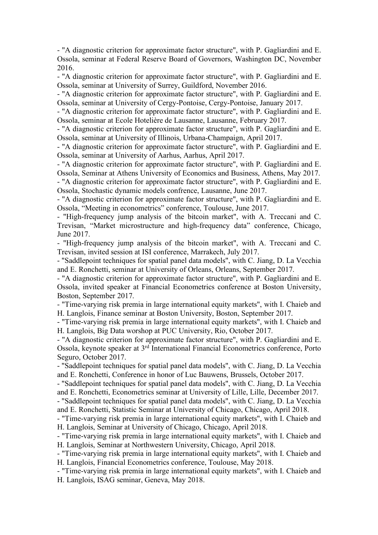- "A diagnostic criterion for approximate factor structure", with P. Gagliardini and E. Ossola, seminar at Federal Reserve Board of Governors, Washington DC, November 2016.

- "A diagnostic criterion for approximate factor structure", with P. Gagliardini and E. Ossola, seminar at University of Surrey, Guildford, November 2016.

- "A diagnostic criterion for approximate factor structure", with P. Gagliardini and E. Ossola, seminar at University of Cergy-Pontoise, Cergy-Pontoise, January 2017.

- "A diagnostic criterion for approximate factor structure", with P. Gagliardini and E. Ossola, seminar at Ecole Hotelière de Lausanne, Lausanne, February 2017.

- "A diagnostic criterion for approximate factor structure", with P. Gagliardini and E. Ossola, seminar at University of Illinois, Urbana-Champaign, April 2017.

- "A diagnostic criterion for approximate factor structure", with P. Gagliardini and E. Ossola, seminar at University of Aarhus, Aarhus, April 2017.

- "A diagnostic criterion for approximate factor structure", with P. Gagliardini and E. Ossola, Seminar at Athens University of Economics and Business, Athens, May 2017.

- "A diagnostic criterion for approximate factor structure", with P. Gagliardini and E. Ossola, Stochastic dynamic models confrence, Lausanne, June 2017.

- "A diagnostic criterion for approximate factor structure", with P. Gagliardini and E. Ossola, "Meeting in econometrics" conference, Toulouse, June 2017.

- "High-frequency jump analysis of the bitcoin market", with A. Treccani and C. Trevisan, "Market microstructure and high-frequency data" conference, Chicago, June 2017.

- "High-frequency jump analysis of the bitcoin market", with A. Treccani and C. Trevisan, invited session at ISI conference, Marrakech, July 2017.

- "Saddlepoint techniques for spatial panel data models", with C. Jiang, D. La Vecchia and E. Ronchetti, seminar at University of Orleans, Orleans, September 2017.

- "A diagnostic criterion for approximate factor structure", with P. Gagliardini and E. Ossola, invited speaker at Financial Econometrics conference at Boston University, Boston, September 2017.

- "Time-varying risk premia in large international equity markets", with I. Chaieb and H. Langlois, Finance seminar at Boston University, Boston, September 2017.

- "Time-varying risk premia in large international equity markets", with I. Chaieb and H. Langlois, Big Data worshop at PUC University, Rio, October 2017.

- "A diagnostic criterion for approximate factor structure", with P. Gagliardini and E. Ossola, keynote speaker at 3rd International Financial Econometrics conference, Porto Seguro, October 2017.

- "Saddlepoint techniques for spatial panel data models", with C. Jiang, D. La Vecchia and E. Ronchetti, Conference in honor of Luc Bauwens, Brussels, October 2017.

- "Saddlepoint techniques for spatial panel data models", with C. Jiang, D. La Vecchia and E. Ronchetti, Econometrics seminar at University of Lille, Lille, December 2017.

- "Saddlepoint techniques for spatial panel data models", with C. Jiang, D. La Vecchia and E. Ronchetti, Statistic Seminar at University of Chicago, Chicago, April 2018.

- "Time-varying risk premia in large international equity markets", with I. Chaieb and H. Langlois, Seminar at University of Chicago, Chicago, April 2018.

- "Time-varying risk premia in large international equity markets", with I. Chaieb and H. Langlois, Seminar at Northwestern University, Chicago, April 2018.

- "Time-varying risk premia in large international equity markets", with I. Chaieb and H. Langlois, Financial Econometrics conference, Toulouse, May 2018.

- "Time-varying risk premia in large international equity markets", with I. Chaieb and H. Langlois, ISAG seminar, Geneva, May 2018.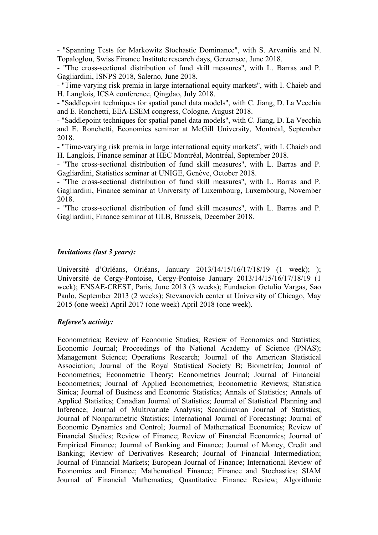- "Spanning Tests for Markowitz Stochastic Dominance", with S. Arvanitis and N. Topaloglou, Swiss Finance Institute research days, Gerzensee, June 2018.

- "The cross-sectional distribution of fund skill measures", with L. Barras and P. Gagliardini, ISNPS 2018, Salerno, June 2018.

- "Time-varying risk premia in large international equity markets", with I. Chaieb and H. Langlois, ICSA conference, Qingdao, July 2018.

- "Saddlepoint techniques for spatial panel data models", with C. Jiang, D. La Vecchia and E. Ronchetti, EEA-ESEM congress, Cologne, August 2018.

- "Saddlepoint techniques for spatial panel data models", with C. Jiang, D. La Vecchia and E. Ronchetti, Economics seminar at McGill University, Montréal, September 2018.

- "Time-varying risk premia in large international equity markets", with I. Chaieb and H. Langlois, Finance seminar at HEC Montréal, Montréal, September 2018.

- "The cross-sectional distribution of fund skill measures", with L. Barras and P. Gagliardini, Statistics seminar at UNIGE, Genève, October 2018.

- "The cross-sectional distribution of fund skill measures", with L. Barras and P. Gagliardini, Finance seminar at University of Luxembourg, Luxembourg, November 2018.

- "The cross-sectional distribution of fund skill measures", with L. Barras and P. Gagliardini, Finance seminar at ULB, Brussels, December 2018.

### *Invitations (last 3 years):*

Université d'Orléans, Orléans, January 2013/14/15/16/17/18/19 (1 week); ); Université de Cergy-Pontoise, Cergy-Pontoise January 2013/14/15/16/17/18/19 (1 week); ENSAE-CREST, Paris, June 2013 (3 weeks); Fundacion Getulio Vargas, Sao Paulo, September 2013 (2 weeks); Stevanovich center at University of Chicago, May 2015 (one week) April 2017 (one week) April 2018 (one week).

#### *Referee's activity:*

Econometrica; Review of Economic Studies; Review of Economics and Statistics; Economic Journal; Proceedings of the National Academy of Science (PNAS); Management Science; Operations Research; Journal of the American Statistical Association; Journal of the Royal Statistical Society B; Biometrika; Journal of Econometrics; Econometric Theory; Econometrics Journal; Journal of Financial Econometrics; Journal of Applied Econometrics; Econometric Reviews; Statistica Sinica; Journal of Business and Economic Statistics; Annals of Statistics; Annals of Applied Statistics; Canadian Journal of Statistics; Journal of Statistical Planning and Inference; Journal of Multivariate Analysis; Scandinavian Journal of Statistics; Journal of Nonparametric Statistics; International Journal of Forecasting; Journal of Economic Dynamics and Control; Journal of Mathematical Economics; Review of Financial Studies; Review of Finance; Review of Financial Economics; Journal of Empirical Finance; Journal of Banking and Finance; Journal of Money, Credit and Banking; Review of Derivatives Research; Journal of Financial Intermediation; Journal of Financial Markets; European Journal of Finance; International Review of Economics and Finance; Mathematical Finance; Finance and Stochastics; SIAM Journal of Financial Mathematics; Quantitative Finance Review; Algorithmic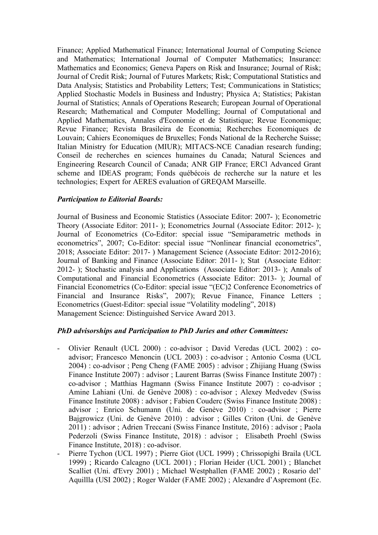Finance; Applied Mathematical Finance; International Journal of Computing Science and Mathematics; International Journal of Computer Mathematics; Insurance: Mathematics and Economics; Geneva Papers on Risk and Insurance; Journal of Risk; Journal of Credit Risk; Journal of Futures Markets; Risk; Computational Statistics and Data Analysis; Statistics and Probability Letters; Test; Communications in Statistics; Applied Stochastic Models in Business and Industry; Physica A; Statistics; Pakistan Journal of Statistics; Annals of Operations Research; European Journal of Operational Research; Mathematical and Computer Modelling; Journal of Computational and Applied Mathematics, Annales d'Economie et de Statistique; Revue Economique; Revue Finance; Revista Brasileira de Economia; Recherches Economiques de Louvain; Cahiers Economiques de Bruxelles; Fonds National de la Recherche Suisse; Italian Ministry for Education (MIUR); MITACS-NCE Canadian research funding; Conseil de recherches en sciences humaines du Canada; Natural Sciences and Engineering Research Council of Canada; ANR GIP France; ERCl Advanced Grant scheme and IDEAS program; Fonds québécois de recherche sur la nature et les technologies; Expert for AERES evaluation of GREQAM Marseille.

# *Participation to Editorial Boards:*

Journal of Business and Economic Statistics (Associate Editor: 2007- ); Econometric Theory (Associate Editor: 2011- ); Econometrics Journal (Associate Editor: 2012- ); Journal of Econometrics (Co-Editor: special issue "Semiparametric methods in econometrics", 2007; Co-Editor: special issue "Nonlinear financial econometrics", 2018; Associate Editor: 2017- ) Management Science (Associate Editor: 2012-2016); Journal of Banking and Finance (Associate Editor: 2011- ); Stat (Associate Editor: 2012- ); Stochastic analysis and Applications (Associate Editor: 2013- ); Annals of Computational and Financial Econometrics (Associate Editor: 2013- ); Journal of Financial Econometrics (Co-Editor: special issue "(EC)2 Conference Econometrics of Financial and Insurance Risks", 2007); Revue Finance, Finance Letters ; Econometrics (Guest-Editor: special issue "Volatility modeling", 2018) Management Science: Distinguished Service Award 2013.

# *PhD advisorships and Participation to PhD Juries and other Committees:*

- Olivier Renault (UCL 2000) : co-advisor ; David Veredas (UCL 2002) : coadvisor; Francesco Menoncin (UCL 2003) : co-advisor ; Antonio Cosma (UCL 2004) : co-advisor ; Peng Cheng (FAME 2005) : advisor ; Zhijiang Huang (Swiss Finance Institute 2007) : advisor ; Laurent Barras (Swiss Finance Institute 2007) : co-advisor ; Matthias Hagmann (Swiss Finance Institute 2007) : co-advisor ; Amine Lahiani (Uni. de Genève 2008) : co-advisor ; Alexey Medvedev (Swiss Finance Institute 2008) : advisor ; Fabien Couderc (Swiss Finance Institute 2008) : advisor ; Enrico Schumann (Uni. de Genève 2010) : co-advisor ; Pierre Bajgrowicz (Uni. de Genève 2010) : advisor ; Gilles Criton (Uni. de Genève 2011) : advisor ; Adrien Treccani (Swiss Finance Institute, 2016) : advisor ; Paola Pederzoli (Swiss Finance Institute, 2018) : advisor ; Elisabeth Proehl (Swiss Finance Institute, 2018) : co-advisor.
- Pierre Tychon (UCL 1997) ; Pierre Giot (UCL 1999) ; Chrissopighi Braila (UCL 1999) ; Ricardo Calcagno (UCL 2001) ; Florian Heider (UCL 2001) ; Blanchet Scalliet (Uni. d'Evry 2001) ; Michael Westphallen (FAME 2002) ; Rosario del' Aquillla (USI 2002) ; Roger Walder (FAME 2002) ; Alexandre d'Aspremont (Ec.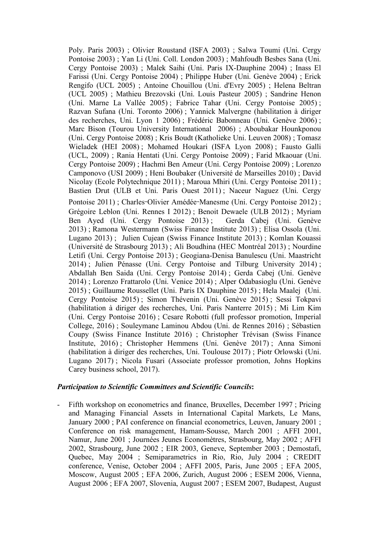Poly. Paris 2003) ; Olivier Roustand (ISFA 2003) ; Salwa Toumi (Uni. Cergy Pontoise 2003) ; Yan Li (Uni. Coll. London 2003) ; Mahfoudh Besbes Sana (Uni. Cergy Pontoise 2003) ; Malek Saihi (Uni. Paris IX-Dauphine 2004) ; Inass El Farissi (Uni. Cergy Pontoise 2004) ; Philippe Huber (Uni. Genève 2004) ; Erick Rengifo (UCL 2005) ; Antoine Chouillou (Uni. d'Evry 2005) ; Helena Beltran (UCL 2005) ; Mathieu Brezovski (Uni. Louis Pasteur 2005) ; Sandrine Henon (Uni. Marne La Vallée 2005) ; Fabrice Tahar (Uni. Cergy Pontoise 2005) ; Razvan Sufana (Uni. Toronto 2006) ; Yannick Malvergne (habilitation à diriger des recherches, Uni. Lyon 1 2006) ; Frédéric Babonneau (Uni. Genève 2006) ; Marc Bison (Tourou University International 2006) ; Aboubakar Hounkponou (Uni. Cergy Pontoise 2008) ; Kris Boudt (Katholieke Uni. Leuven 2008) ; Tomasz Wieladek (HEI 2008) ; Mohamed Houkari (ISFA Lyon 2008) ; Fausto Galli (UCL, 2009) ; Rania Hentati (Uni. Cergy Pontoise 2009) ; Farid Mkaouar (Uni. Cergy Pontoise 2009) ; Hachmi Ben Ameur (Uni. Cergy Pontoise 2009) ; Lorenzo Camponovo (USI 2009) ; Heni Boubaker (Université de Marseilles 2010) ; David Nicolay (Ecole Polytechnique 2011) ; Maroua Mhiri (Uni. Cergy Pontoise 2011) ; Bastien Drut (ULB et Uni. Paris Ouest 2011) ; Naceur Naguez (Uni. Cergy Pontoise 2011) ; Charles-Olivier Amédée-Manesme (Uni. Cergy Pontoise 2012) ; Grégoire Leblon (Uni. Rennes I 2012) ; Benoit Dewaele (ULB 2012) ; Myriam Ben Ayed (Uni. Cergy Pontoise 2013) ; Gerda Cabej (Uni. Genève

2013) ; Ramona Westermann (Swiss Finance Institute 2013) ; Elisa Ossola (Uni. Lugano 2013) ; Julien Cujean (Swiss Finance Institute 2013) ; Komlan Kouassi (Université de Strasbourg 2013) ; Ali Boudhina (HEC Montréal 2013) ; Nourdine Letifi (Uni. Cergy Pontoise 2013) ; Geogiana-Denisa Banulescu (Uni. Maastricht 2014) ; Julien Pénasse (Uni. Cergy Pontoise and Tilburg University 2014) ; Abdallah Ben Saida (Uni. Cergy Pontoise 2014) ; Gerda Cabej (Uni. Genève 2014) ; Lorenzo Frattarolo (Uni. Venice 2014) ; Alper Odabasioglu (Uni. Genève 2015) ; Guillaume Roussellet (Uni. Paris IX Dauphine 2015) ; Hela Maalej (Uni. Cergy Pontoise 2015) ; Simon Thévenin (Uni. Genève 2015) ; Sessi Tokpavi (habilitation à diriger des recherches, Uni. Paris Nanterre 2015) ; Mi Lim Kim (Uni. Cergy Pontoise 2016) ; Cesare Robotti (full professor promotion, Imperial College, 2016) ; Souleymane Laminou Abdou (Uni. de Rennes 2016) ; Sébastien Coupy (Swiss Finance Institute 2016) ; Christopher Trévisan (Swiss Finance Institute, 2016) ; Christopher Hemmens (Uni. Genève 2017) ; Anna Simoni (habilitation à diriger des recherches, Uni. Toulouse 2017) ; Piotr Orlowski (Uni. Lugano 2017) ; Nicola Fusari (Associate professor promotion, Johns Hopkins Carey business school, 2017).

## *Participation to Scientific Committees and Scientific Councils***:**

Fifth workshop on econometrics and finance, Bruxelles, December 1997; Pricing and Managing Financial Assets in International Capital Markets, Le Mans, January 2000 ; PAI conference on financial econometrics, Leuven, January 2001 ; Conference on risk management, Hamam-Sousse, March 2001 ; AFFI 2001, Namur, June 2001 ; Journées Jeunes Economètres, Strasbourg, May 2002 ; AFFI 2002, Strasbourg, June 2002 ; EIR 2003, Geneve, September 2003 ; Demostafi, Quebec, May 2004 ; Semiparametrics in Rio, Rio, July 2004 ; CREDIT conference, Venise, October 2004 ; AFFI 2005, Paris, June 2005 ; EFA 2005, Moscow, August 2005 ; EFA 2006, Zurich, August 2006 ; ESEM 2006, Vienna, August 2006 ; EFA 2007, Slovenia, August 2007 ; ESEM 2007, Budapest, August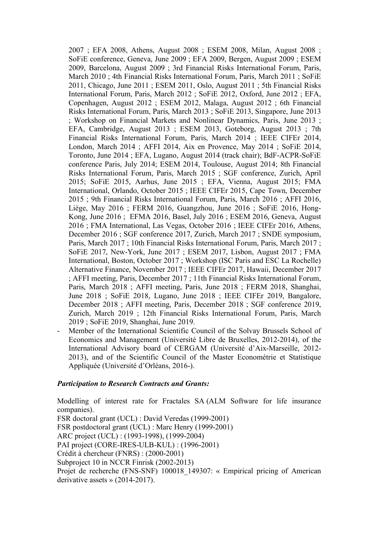2007 ; EFA 2008, Athens, August 2008 ; ESEM 2008, Milan, August 2008 ; SoFiE conference, Geneva, June 2009 ; EFA 2009, Bergen, August 2009 ; ESEM 2009, Barcelona, August 2009 ; 3rd Financial Risks International Forum, Paris, March 2010 ; 4th Financial Risks International Forum, Paris, March 2011 ; SoFiE 2011, Chicago, June 2011 ; ESEM 2011, Oslo, August 2011 ; 5th Financial Risks International Forum, Paris, March 2012 ; SoFiE 2012, Oxford, June 2012 ; EFA, Copenhagen, August 2012 ; ESEM 2012, Malaga, August 2012 ; 6th Financial Risks International Forum, Paris, March 2013 ; SoFiE 2013, Singapore, June 2013 ; Workshop on Financial Markets and Nonlinear Dynamics, Paris, June 2013 ; EFA, Cambridge, August 2013 ; ESEM 2013, Goteborg, August 2013 ; 7th Financial Risks International Forum, Paris, March 2014 ; IEEE CIFEr 2014, London, March 2014 ; AFFI 2014, Aix en Provence, May 2014 ; SoFiE 2014, Toronto, June 2014 ; EFA, Lugano, August 2014 (track chair); BdF-ACPR-SoFiE conference Paris, July 2014; ESEM 2014, Toulouse, August 2014; 8th Financial Risks International Forum, Paris, March 2015 ; SGF conference, Zurich, April 2015; SoFiE 2015, Aarhus, June 2015 ; EFA, Vienna, August 2015; FMA International, Orlando, October 2015 ; IEEE CIFEr 2015, Cape Town, December 2015 ; 9th Financial Risks International Forum, Paris, March 2016 ; AFFI 2016, Liège, May 2016 ; FERM 2016, Guangzhou, June 2016 ; SoFiE 2016, Hong-Kong, June 2016 ; EFMA 2016, Basel, July 2016 ; ESEM 2016, Geneva, August 2016 ; FMA International, Las Vegas, October 2016 ; IEEE CIFEr 2016, Athens, December 2016 ; SGF conference 2017, Zurich, March 2017 ; SNDE symposium, Paris, March 2017 ; 10th Financial Risks International Forum, Paris, March 2017 ; SoFiE 2017, New-York, June 2017 ; ESEM 2017, Lisbon, August 2017 ; FMA International, Boston, October 2017 ; Workshop (ISC Paris and ESC La Rochelle) Alternative Finance, November 2017 ; IEEE CIFEr 2017, Hawaii, December 2017 ; AFFI meeting, Paris, December 2017 ; 11th Financial Risks International Forum, Paris, March 2018 ; AFFI meeting, Paris, June 2018 ; FERM 2018, Shanghai, June 2018 ; SoFiE 2018, Lugano, June 2018 ; IEEE CIFEr 2019, Bangalore, December 2018 ; AFFI meeting, Paris, December 2018 ; SGF conference 2019, Zurich, March 2019 ; 12th Financial Risks International Forum, Paris, March 2019 ; SoFiE 2019, Shanghai, June 2019.

Member of the International Scientific Council of the Solvay Brussels School of Economics and Management (Université Libre de Bruxelles, 2012-2014), of the International Advisory board of CERGAM (Université d'Aix-Marseille, 2012- 2013), and of the Scientific Council of the Master Econométrie et Statistique Appliquée (Université d'Orléans, 2016-).

## *Participation to Research Contracts and Grants:*

Modelling of interest rate for Fractales SA (ALM Software for life insurance companies). FSR doctoral grant (UCL) : David Veredas (1999-2001) FSR postdoctoral grant (UCL) : Marc Henry (1999-2001) ARC project (UCL) : (1993-1998), (1999-2004) PAI project (CORE-IRES-ULB-KUL) : (1996-2001) Crédit à chercheur (FNRS) : (2000-2001) Subproject 10 in NCCR Finrisk (2002-2013) Projet de recherche (FNS-SNF) 100018 149307: « Empirical pricing of American derivative assets » (2014-2017).